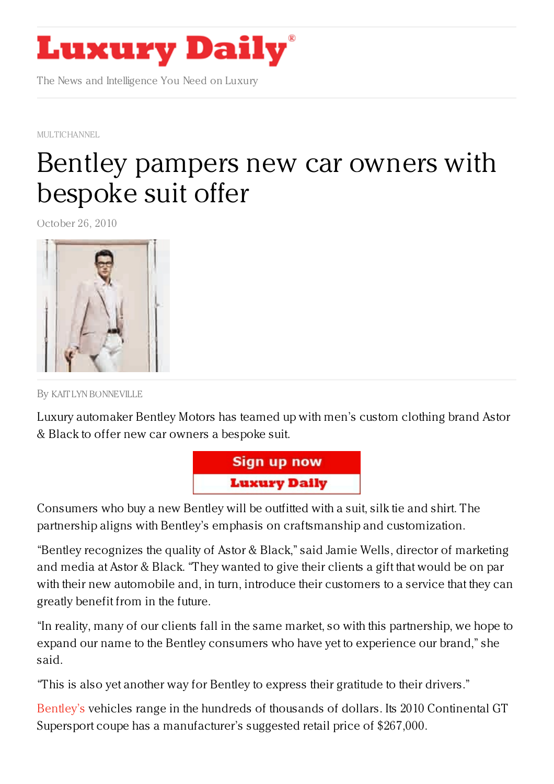

The News and Intelligence You Need on Luxury

[MULTICHANNEL](https://www.luxurydaily.com/category/news/multichannel/)

## Bentley [pampers](https://www.luxurydaily.com/bentley-offers-new-car-owners-bespoke-suit/) new car owners with bespoke suit offer

October 26, 2010



By KAIT LYN [BONNEVILLE](/author/kaitlyn-bonneville)

Luxury automaker Bentley Motors has teamed up with men's custom clothing brand Astor & Black to offer new car owners a bespoke suit.



Consumers who buy a new Bentley will be outfitted with a suit, silk tie and shirt. The partnership aligns with Bentley's emphasis on craftsmanship and customization.

"Bentley recognizes the quality of Astor & Black," said Jamie Wells, director of marketing and media at Astor & Black. "They wanted to give their clients a gift that would be on par with their new automobile and, in turn, introduce their customers to a service that they can greatly benefit from in the future.

"In reality, many of our clients fall in the same market, so with this partnership, we hope to expand our name to the Bentley consumers who have yet to experience our brand," she said.

"This is also yet another way for Bentley to express their gratitude to their drivers."

[Bentley's](http://www.bentleymotors.com/) vehicles range in the hundreds of thousands of dollars. Its 2010 Continental GT Supersport coupe has a manufacturer's suggested retail price of \$267,000.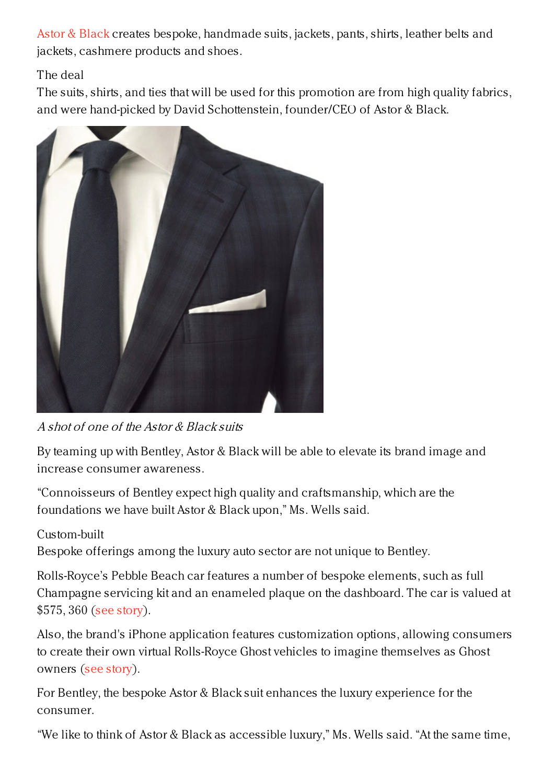Astor & [Black](http://www.astorandblack.com/) creates bespoke, handmade suits, jackets, pants, shirts, leather belts and jackets, cashmere products and shoes.

## The deal

The suits, shirts, and ties that will be used for this promotion are from high quality fabrics, and were hand-picked by David Schottenstein, founder/CEO of Astor & Black.



A shot of one of the Astor & Black suits

By teaming up with Bentley, Astor & Black will be able to elevate its brand image and increase consumer awareness.

"Connoisseurs of Bentley expect high quality and craftsmanship, which are the foundations we have built Astor & Black upon," Ms. Wells said.

## Custom-built

Bespoke offerings among the luxury auto sector are not unique to Bentley.

Rolls-Royce's Pebble Beach car features a number of bespoke elements, such as full Champagne servicing kit and an enameled plaque on the dashboard. The car is valued at \$575, 360 (see [story](https://www.luxurydaily.com/rolls-royce-showcases-vehicle-customization-with-special-edition-coupe/)).

Also, the brand's iPhone application features customization options, allowing consumers to create their own virtual Rolls-Royce Ghost vehicles to imagine themselves as Ghost owners (see [story](https://www.luxurydaily.com/rolls-royce-targets-aspiring-luxury-consumers-with-mobile-app/)).

For Bentley, the bespoke Astor & Black suit enhances the luxury experience for the consumer.

"We like to think of Astor & Black as accessible luxury," Ms. Wells said. "At the same time,